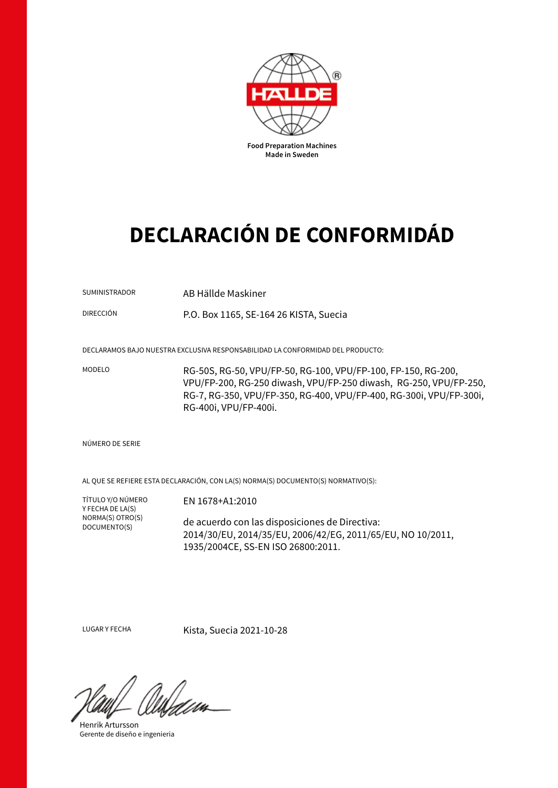

## **DECLARACIÓN DE CONFORMIDÁD**

| <b>SUMINISTRADOR</b><br><b>DIRECCIÓN</b> | AB Hällde Maskiner<br>P.O. Box 1165, SE-164 26 KISTA, Suecia                                                                                                                                                                                                                                                         |
|------------------------------------------|----------------------------------------------------------------------------------------------------------------------------------------------------------------------------------------------------------------------------------------------------------------------------------------------------------------------|
| MODELO                                   | DECLARAMOS BAJO NUESTRA EXCLUSIVA RESPONSABILIDAD LA CONFORMIDAD DEL PRODUCTO:<br>RG-50S, RG-50, VPU/FP-50, RG-100, VPU/FP-100, FP-150, RG-200,<br>VPU/FP-200, RG-250 diwash, VPU/FP-250 diwash, RG-250, VPU/FP-250,<br>RG-7, RG-350, VPU/FP-350, RG-400, VPU/FP-400, RG-300i, VPU/FP-300i,<br>RG-400i, VPU/FP-400i. |
| NÚMERO DE SERIE                          |                                                                                                                                                                                                                                                                                                                      |

AL QUE SE REFIERE ESTA DECLARACIÓN, CON LA(S) NORMA(S) DOCUMENTO(S) NORMATIVO(S):

TÍTULO Y/O NÚMERO Y FECHA DE LA(S) NORMA(S) OTRO(S) DOCUMENTO(S)

EN 1678+A1:2010

de acuerdo con las disposiciones de Directiva: 2014/30/EU, 2014/35/EU, 2006/42/EG, 2011/65/EU, NO 10/2011, 1935/2004CE, SS-EN ISO 26800:2011.

LUGAR Y FECHA Kista, Suecia 2021-10-28

Henrik Artursson Gerente de diseño e ingenieria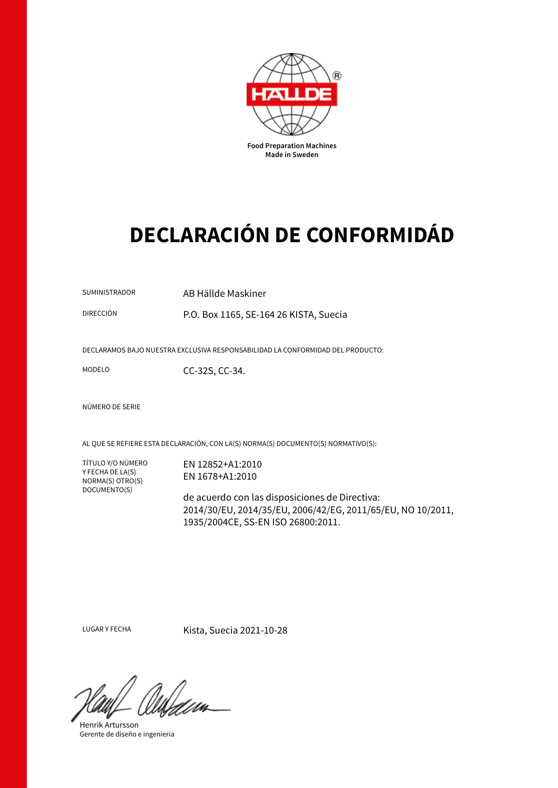

## **DECLARACIÓN DE CONFORMIDÁD**

SUMINISTRADOR AB Hällde Maskiner

DIRECCIÓN P.O. Box 1165, SE-164 26 KISTA, Suecia

DECLARAMOS BAJO NUESTRA EXCLUSIVA RESPONSABILIDAD LA CONFORMIDAD DEL PRODUCTO:

MODELO CC-32S, CC-34.

NÚMERO DE SERIE

AL QUE SE REFIERE ESTA DECLARACIÓN, CON LA(S) NORMA(S) DOCUMENTO(S) NORMATIVO(S):

TÍTULO Y/O NÚMERO Y FECHA DE LA(S) NORMA(S) OTRO(S) DOCUMENTO(S)

EN 12852+A1:2010 EN 1678+A1:2010

de acuerdo con las disposiciones de Directiva: 2014/30/EU, 2014/35/EU, 2006/42/EG, 2011/65/EU, NO 10/2011, 1935/2004CE, SS-EN ISO 26800:2011.

LUGAR Y FECHA Kista, Suecia 2021-10-28

Henrik Artursson Gerente de diseño e ingenieria